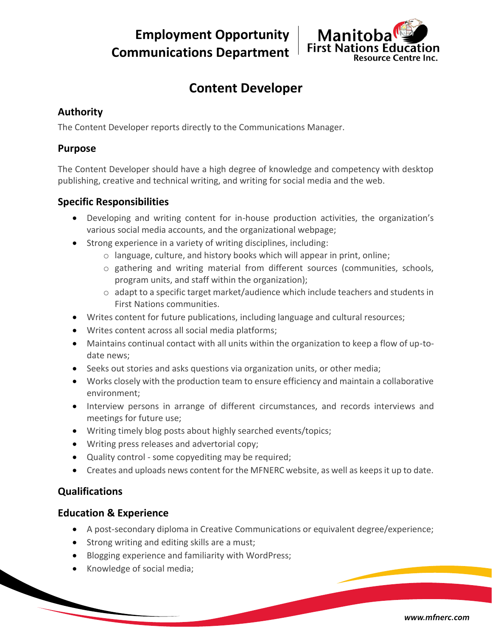**Employment Opportunity Communications Department**



# **Content Developer**

## **Authority**

The Content Developer reports directly to the Communications Manager.

### **Purpose**

The Content Developer should have a high degree of knowledge and competency with desktop publishing, creative and technical writing, and writing for social media and the web.

## **Specific Responsibilities**

- Developing and writing content for in-house production activities, the organization's various social media accounts, and the organizational webpage;
- Strong experience in a variety of writing disciplines, including:
	- o language, culture, and history books which will appear in print, online;
	- o gathering and writing material from different sources (communities, schools, program units, and staff within the organization);
	- $\circ$  adapt to a specific target market/audience which include teachers and students in First Nations communities.
- Writes content for future publications, including language and cultural resources;
- Writes content across all social media platforms;
- Maintains continual contact with all units within the organization to keep a flow of up-todate news;
- Seeks out stories and asks questions via organization units, or other media;
- Works closely with the production team to ensure efficiency and maintain a collaborative environment;
- Interview persons in arrange of different circumstances, and records interviews and meetings for future use;
- Writing timely blog posts about highly searched events/topics;
- Writing press releases and advertorial copy;
- Quality control some copyediting may be required;
- Creates and uploads news content for the MFNERC website, as well as keeps it up to date.

# **Qualifications**

### **Education & Experience**

- A post-secondary diploma in Creative Communications or equivalent degree/experience;
- Strong writing and editing skills are a must;
- Blogging experience and familiarity with WordPress;
- Knowledge of social media;